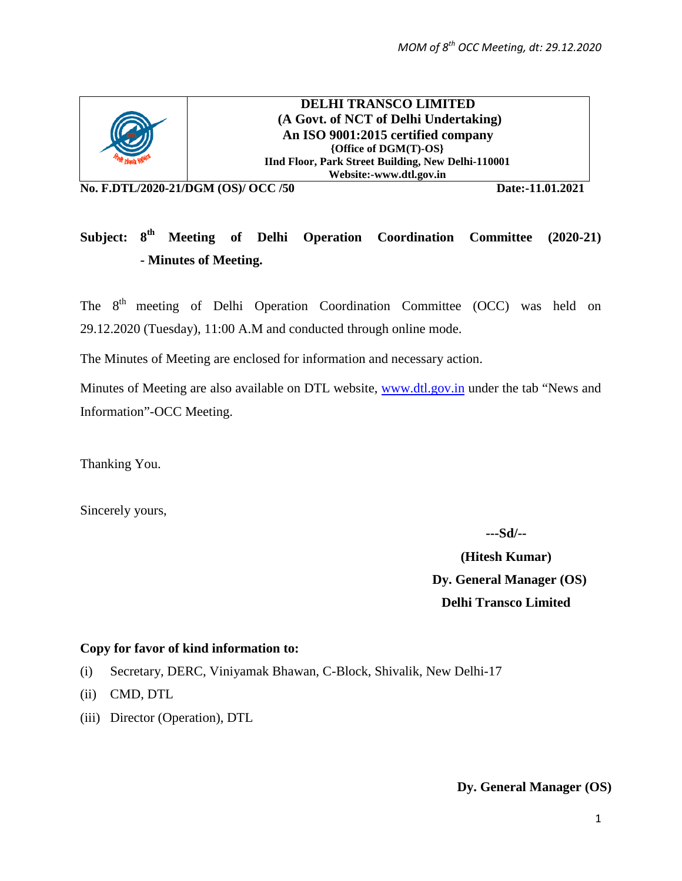

**DELHI TRANSCO LIMITED (A Govt. of NCT of Delhi Undertaking) An ISO 9001:2015 certified company {Office of DGM(T)-OS} IInd Floor, Park Street Building, New Delhi-110001 Website:-www.dtl.gov.in**

**No. F.DTL/2020-21/DGM (OS)/ OCC /50 Date:-11.01.2021**

# Subject: 8<sup>th</sup> Meeting of Delhi Operation Coordination Committee (2020-21) **- Minutes of Meeting.**

The 8<sup>th</sup> meeting of Delhi Operation Coordination Committee (OCC) was held on 29.12.2020 (Tuesday), 11:00 A.M and conducted through online mode.

The Minutes of Meeting are enclosed for information and necessary action.

Minutes of Meeting are also available on DTL website, [www.dtl.gov.in](http://www.dtl.gov.in/) under the tab "News and Information"-OCC Meeting.

Thanking You.

Sincerely yours,

**---Sd/--**

**(Hitesh Kumar) Dy. General Manager (OS) Delhi Transco Limited**

#### **Copy for favor of kind information to:**

- (i) Secretary, DERC, Viniyamak Bhawan, C-Block, Shivalik, New Delhi-17
- (ii) CMD, DTL
- (iii) Director (Operation), DTL

#### **Dy. General Manager (OS)**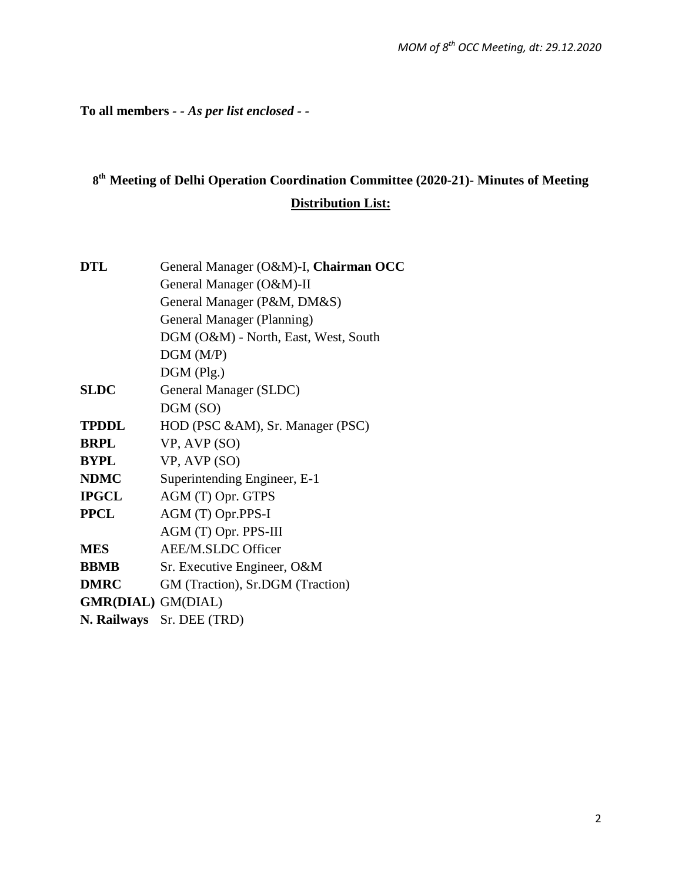**To all members** *- - As per list enclosed - -*

# **8th Meeting of Delhi Operation Coordination Committee (2020-21)- Minutes of Meeting Distribution List:**

| <b>DTL</b>                | General Manager (O&M)-I, Chairman OCC |
|---------------------------|---------------------------------------|
|                           | General Manager (O&M)-II              |
|                           | General Manager (P&M, DM&S)           |
|                           | General Manager (Planning)            |
|                           | DGM (O&M) - North, East, West, South  |
|                           | DGM(M/P)                              |
|                           | $DGM$ (Plg.)                          |
| <b>SLDC</b>               | General Manager (SLDC)                |
|                           | DGM (SO)                              |
| <b>TPDDL</b>              | HOD (PSC &AM), Sr. Manager (PSC)      |
| <b>BRPL</b>               | VP, AVP (SO)                          |
| <b>BYPL</b>               | VP, AVP (SO)                          |
| <b>NDMC</b>               | Superintending Engineer, E-1          |
| <b>IPGCL</b>              | AGM (T) Opr. GTPS                     |
| <b>PPCL</b>               | AGM (T) Opr.PPS-I                     |
|                           | AGM (T) Opr. PPS-III                  |
| <b>MES</b>                | <b>AEE/M.SLDC Officer</b>             |
| <b>BBMB</b>               | Sr. Executive Engineer, O&M           |
| <b>DMRC</b>               | GM (Traction), Sr.DGM (Traction)      |
| <b>GMR(DIAL)</b> GM(DIAL) |                                       |
|                           | N. Railways Sr. DEE (TRD)             |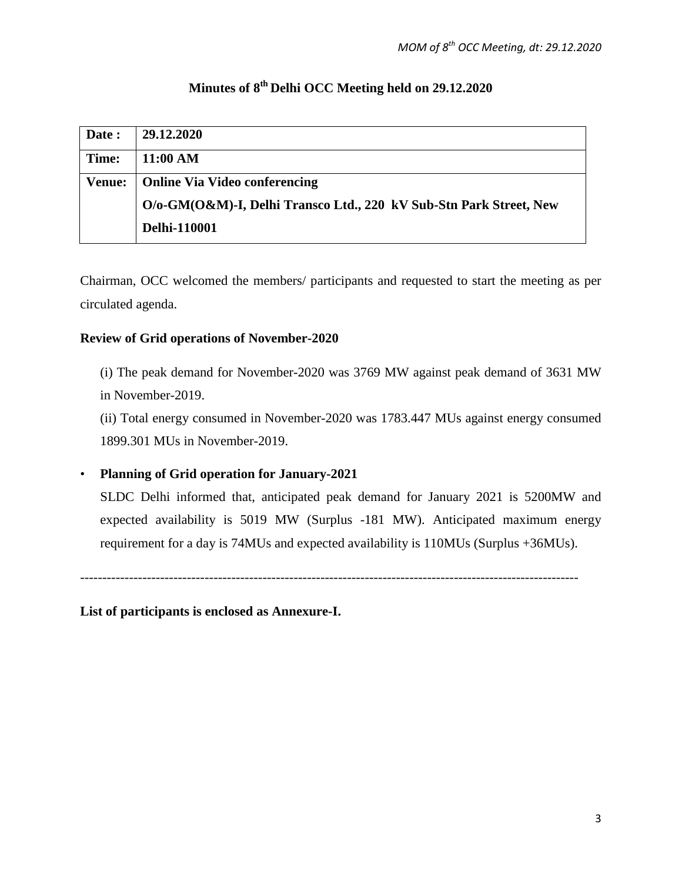| Date:         | 29.12.2020                                                         |
|---------------|--------------------------------------------------------------------|
| Time:         | 11:00 AM                                                           |
| <b>Venue:</b> | <b>Online Via Video conferencing</b>                               |
|               | O/o-GM(O&M)-I, Delhi Transco Ltd., 220 kV Sub-Stn Park Street, New |
|               | <b>Delhi-110001</b>                                                |

# **Minutes of 8th Delhi OCC Meeting held on 29.12.2020**

Chairman, OCC welcomed the members/ participants and requested to start the meeting as per circulated agenda.

## **Review of Grid operations of November-2020**

(i) The peak demand for November-2020 was 3769 MW against peak demand of 3631 MW in November-2019.

(ii) Total energy consumed in November-2020 was 1783.447 MUs against energy consumed 1899.301 MUs in November-2019.

# • **Planning of Grid operation for January-2021**

 SLDC Delhi informed that, anticipated peak demand for January 2021 is 5200MW and expected availability is 5019 MW (Surplus -181 MW). Anticipated maximum energy requirement for a day is 74MUs and expected availability is 110MUs (Surplus +36MUs).

**List of participants is enclosed as Annexure-I.**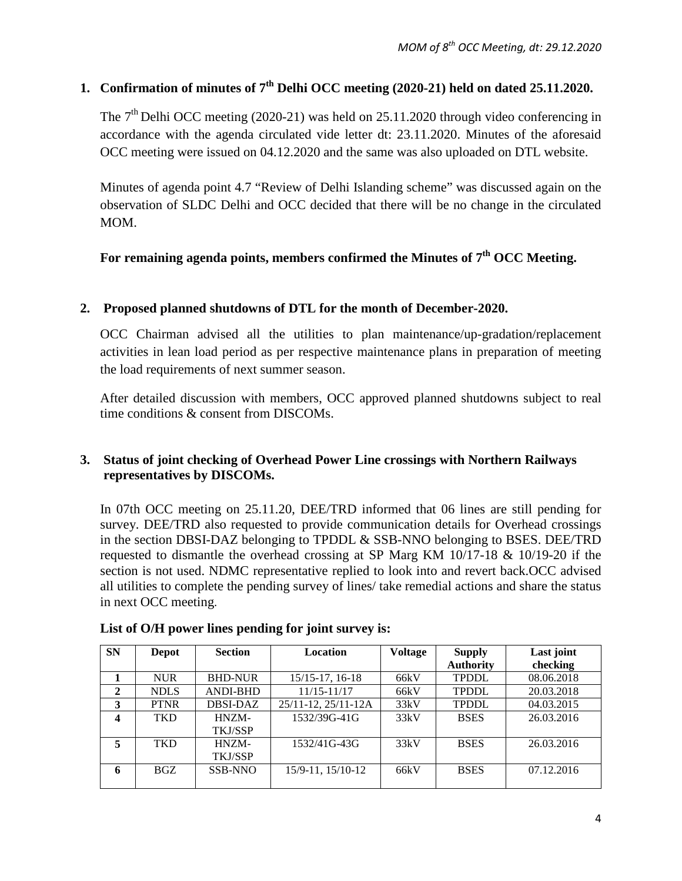# **1. Confirmation of minutes of 7th Delhi OCC meeting (2020-21) held on dated 25.11.2020.**

The  $7<sup>th</sup>$  Delhi OCC meeting (2020-21) was held on 25.11.2020 through video conferencing in accordance with the agenda circulated vide letter dt: 23.11.2020. Minutes of the aforesaid OCC meeting were issued on 04.12.2020 and the same was also uploaded on DTL website.

Minutes of agenda point 4.7 "Review of Delhi Islanding scheme" was discussed again on the observation of SLDC Delhi and OCC decided that there will be no change in the circulated MOM.

# For remaining agenda points, members confirmed the Minutes of 7<sup>th</sup> OCC Meeting.

# **2. Proposed planned shutdowns of DTL for the month of December-2020.**

OCC Chairman advised all the utilities to plan maintenance/up-gradation/replacement activities in lean load period as per respective maintenance plans in preparation of meeting the load requirements of next summer season.

After detailed discussion with members, OCC approved planned shutdowns subject to real time conditions & consent from DISCOMs.

# **3. Status of joint checking of Overhead Power Line crossings with Northern Railways representatives by DISCOMs.**

In 07th OCC meeting on 25.11.20, DEE/TRD informed that 06 lines are still pending for survey. DEE/TRD also requested to provide communication details for Overhead crossings in the section DBSI-DAZ belonging to TPDDL & SSB-NNO belonging to BSES. DEE/TRD requested to dismantle the overhead crossing at SP Marg KM 10/17-18 & 10/19-20 if the section is not used. NDMC representative replied to look into and revert back.OCC advised all utilities to complete the pending survey of lines/ take remedial actions and share the status in next OCC meeting.

| <b>SN</b>    | Depot       | <b>Section</b>  | Location            | <b>Voltage</b> | <b>Supply</b>    | Last joint |
|--------------|-------------|-----------------|---------------------|----------------|------------------|------------|
|              |             |                 |                     |                | <b>Authority</b> | checking   |
|              | <b>NUR</b>  | <b>BHD-NUR</b>  | $15/15-17$ , 16-18  | 66kV           | <b>TPDDL</b>     | 08.06.2018 |
| $\mathbf{2}$ | <b>NDLS</b> | <b>ANDI-BHD</b> | 11/15-11/17         | 66kV           | <b>TPDDL</b>     | 20.03.2018 |
| 3            | <b>PTNR</b> | DBSI-DAZ        | 25/11-12, 25/11-12A | 33kV           | <b>TPDDL</b>     | 04.03.2015 |
| 4            | <b>TKD</b>  | HNZM-           | 1532/39G-41G        | 33kV           | <b>BSES</b>      | 26.03.2016 |
|              |             | TKJ/SSP         |                     |                |                  |            |
| 5            | <b>TKD</b>  | HNZM-           | 1532/41G-43G        | 33kV           | <b>BSES</b>      | 26.03.2016 |
|              |             | TKJ/SSP         |                     |                |                  |            |
| 6            | <b>BGZ</b>  | <b>SSB-NNO</b>  | 15/9-11, 15/10-12   | 66kV           | <b>BSES</b>      | 07.12.2016 |
|              |             |                 |                     |                |                  |            |

#### **List of O/H power lines pending for joint survey is:**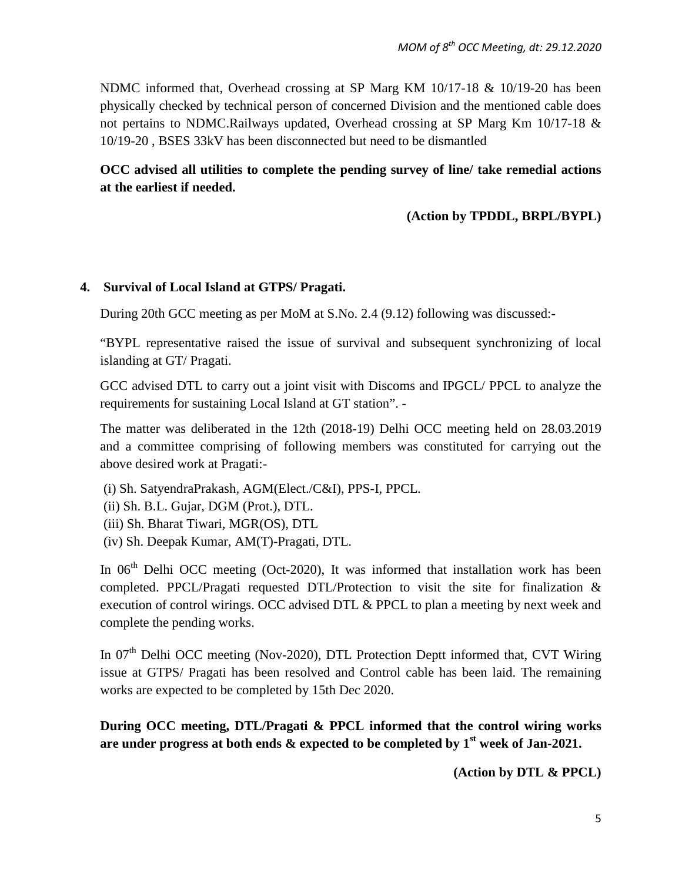NDMC informed that, Overhead crossing at SP Marg KM 10/17-18 & 10/19-20 has been physically checked by technical person of concerned Division and the mentioned cable does not pertains to NDMC.Railways updated, Overhead crossing at SP Marg Km 10/17-18 & 10/19-20 , BSES 33kV has been disconnected but need to be dismantled

**OCC advised all utilities to complete the pending survey of line/ take remedial actions at the earliest if needed.**

#### **(Action by TPDDL, BRPL/BYPL)**

#### **4. Survival of Local Island at GTPS/ Pragati.**

During 20th GCC meeting as per MoM at S.No. 2.4 (9.12) following was discussed:-

"BYPL representative raised the issue of survival and subsequent synchronizing of local islanding at GT/ Pragati.

GCC advised DTL to carry out a joint visit with Discoms and IPGCL/ PPCL to analyze the requirements for sustaining Local Island at GT station". -

The matter was deliberated in the 12th (2018-19) Delhi OCC meeting held on 28.03.2019 and a committee comprising of following members was constituted for carrying out the above desired work at Pragati:-

- (i) Sh. SatyendraPrakash, AGM(Elect./C&I), PPS-I, PPCL.
- (ii) Sh. B.L. Gujar, DGM (Prot.), DTL.
- (iii) Sh. Bharat Tiwari, MGR(OS), DTL
- (iv) Sh. Deepak Kumar, AM(T)-Pragati, DTL.

In  $06<sup>th</sup>$  Delhi OCC meeting (Oct-2020), It was informed that installation work has been completed. PPCL/Pragati requested DTL/Protection to visit the site for finalization & execution of control wirings. OCC advised DTL & PPCL to plan a meeting by next week and complete the pending works.

In 07<sup>th</sup> Delhi OCC meeting (Nov-2020), DTL Protection Deptt informed that, CVT Wiring issue at GTPS/ Pragati has been resolved and Control cable has been laid. The remaining works are expected to be completed by 15th Dec 2020.

**During OCC meeting, DTL/Pragati & PPCL informed that the control wiring works are under progress at both ends & expected to be completed by 1st week of Jan-2021.**

**(Action by DTL & PPCL)**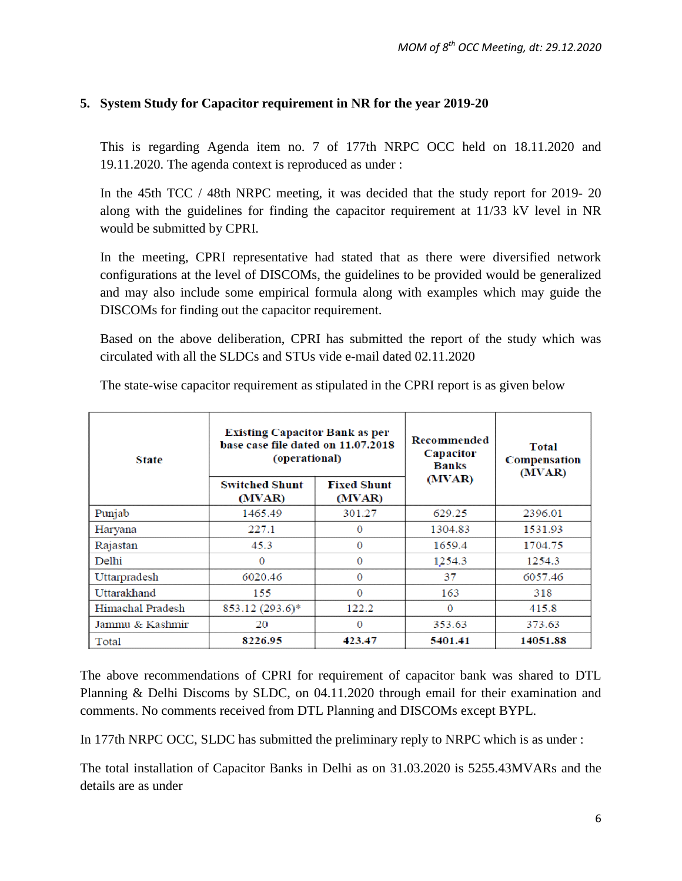## **5. System Study for Capacitor requirement in NR for the year 2019-20**

This is regarding Agenda item no. 7 of 177th NRPC OCC held on 18.11.2020 and 19.11.2020. The agenda context is reproduced as under :

In the 45th TCC / 48th NRPC meeting, it was decided that the study report for 2019- 20 along with the guidelines for finding the capacitor requirement at 11/33 kV level in NR would be submitted by CPRI.

In the meeting, CPRI representative had stated that as there were diversified network configurations at the level of DISCOMs, the guidelines to be provided would be generalized and may also include some empirical formula along with examples which may guide the DISCOMs for finding out the capacitor requirement.

Based on the above deliberation, CPRI has submitted the report of the study which was circulated with all the SLDCs and STUs vide e-mail dated 02.11.2020

| <b>State</b>     | <b>Existing Capacitor Bank as per</b><br>base case file dated on 11.07.2018<br><i>(operational)</i> |                              | Recommended<br>Capacitor<br><b>Banks</b> | <b>Total</b><br>Compensation<br>(MVAR) |  |
|------------------|-----------------------------------------------------------------------------------------------------|------------------------------|------------------------------------------|----------------------------------------|--|
|                  | <b>Switched Shunt</b><br>(MVAR)                                                                     | <b>Fixed Shunt</b><br>(MVAR) | (MVAR)                                   |                                        |  |
| Punjab           | 1465.49                                                                                             | 301.27                       | 629.25                                   | 2396.01                                |  |
| Haryana          | 227.1                                                                                               | 0                            | 1304.83                                  | 1531.93                                |  |
| Rajastan         | 45.3                                                                                                | 0                            | 1659.4                                   | 1704.75                                |  |
| Delhi            | $\Omega$                                                                                            | 0                            | 1254.3                                   | 1254.3                                 |  |
| Uttarpradesh     | 6020.46                                                                                             | $\bf{0}$                     | 37                                       | 6057.46                                |  |
| Uttarakhand      | 155                                                                                                 | $\bf{0}$                     | 163                                      | 318                                    |  |
| Himachal Pradesh | 853.12 (293.6)*                                                                                     | 122.2                        | $\Omega$                                 | 415.8                                  |  |
| Jammu & Kashmir  | 20                                                                                                  | $\Omega$                     | 353.63                                   | 373.63                                 |  |
| Total            | 8226.95                                                                                             | 423.47                       | 5401.41                                  | 14051.88                               |  |

The state-wise capacitor requirement as stipulated in the CPRI report is as given below

The above recommendations of CPRI for requirement of capacitor bank was shared to DTL Planning & Delhi Discoms by SLDC, on 04.11.2020 through email for their examination and comments. No comments received from DTL Planning and DISCOMs except BYPL.

In 177th NRPC OCC, SLDC has submitted the preliminary reply to NRPC which is as under :

The total installation of Capacitor Banks in Delhi as on 31.03.2020 is 5255.43MVARs and the details are as under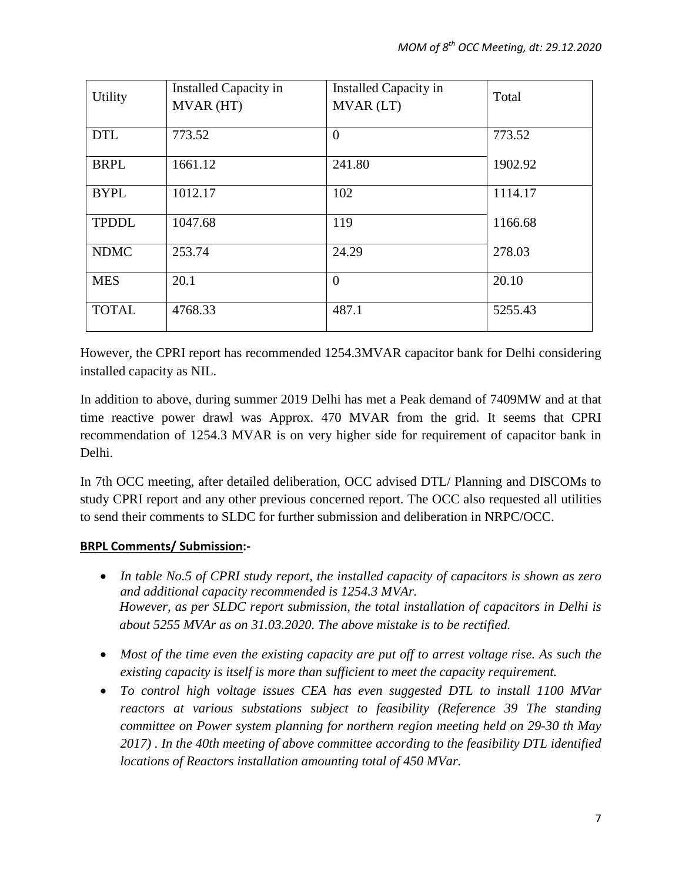| <b>Utility</b> | Installed Capacity in<br>MVAR (HT) | Installed Capacity in<br>MVAR (LT) | Total   |
|----------------|------------------------------------|------------------------------------|---------|
| <b>DTL</b>     | 773.52                             | $\Omega$                           | 773.52  |
| <b>BRPL</b>    | 1661.12                            | 241.80                             | 1902.92 |
| <b>BYPL</b>    | 1012.17                            | 102                                | 1114.17 |
| <b>TPDDL</b>   | 1047.68                            | 119                                | 1166.68 |
| <b>NDMC</b>    | 253.74                             | 24.29                              | 278.03  |
| <b>MES</b>     | 20.1                               | $\overline{0}$                     | 20.10   |
| <b>TOTAL</b>   | 4768.33                            | 487.1                              | 5255.43 |

However, the CPRI report has recommended 1254.3MVAR capacitor bank for Delhi considering installed capacity as NIL.

In addition to above, during summer 2019 Delhi has met a Peak demand of 7409MW and at that time reactive power drawl was Approx. 470 MVAR from the grid. It seems that CPRI recommendation of 1254.3 MVAR is on very higher side for requirement of capacitor bank in Delhi.

In 7th OCC meeting, after detailed deliberation, OCC advised DTL/ Planning and DISCOMs to study CPRI report and any other previous concerned report. The OCC also requested all utilities to send their comments to SLDC for further submission and deliberation in NRPC/OCC.

# **BRPL Comments/ Submission :-**

- *In table No.5 of CPRI study report, the installed capacity of capacitors is shown as zero and additional capacity recommended is 1254.3 MVAr. However, as per SLDC report submission, the total installation of capacitors in Delhi is about 5255 MVAr as on 31.03.2020. The above mistake is to be rectified.*
- *Most of the time even the existing capacity are put off to arrest voltage rise. As such the existing capacity is itself is more than sufficient to meet the capacity requirement.*
- *To control high voltage issues CEA has even suggested DTL to install 1100 MVar reactors at various substations subject to feasibility (Reference 39 The standing committee on Power system planning for northern region meeting held on 29-30 th May 2017) . In the 40th meeting of above committee according to the feasibility DTL identified locations of Reactors installation amounting total of 450 MVar.*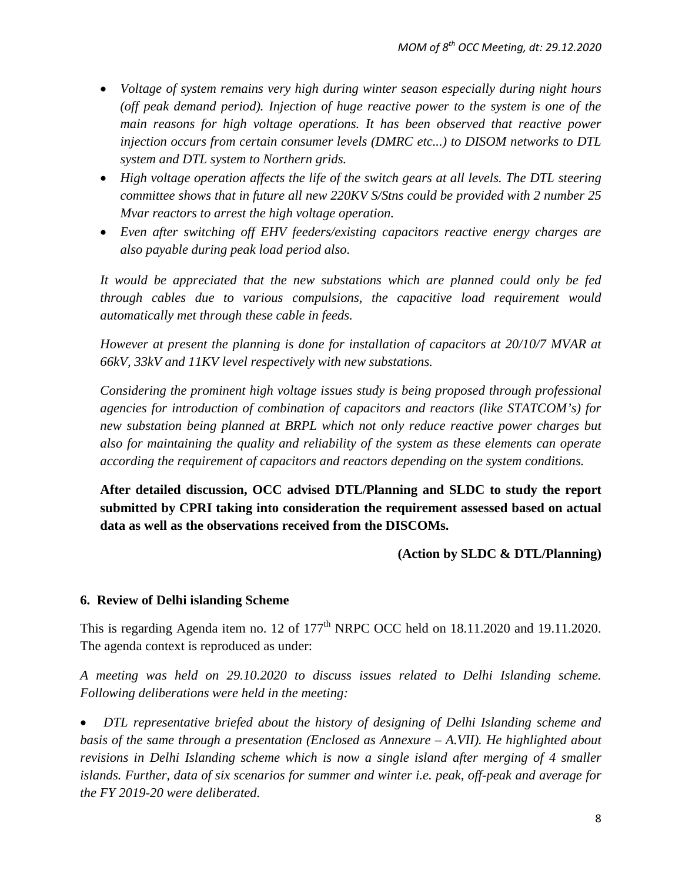- *Voltage of system remains very high during winter season especially during night hours (off peak demand period). Injection of huge reactive power to the system is one of the main reasons for high voltage operations. It has been observed that reactive power injection occurs from certain consumer levels (DMRC etc...) to DISOM networks to DTL system and DTL system to Northern grids.*
- *High voltage operation affects the life of the switch gears at all levels. The DTL steering committee shows that in future all new 220KV S/Stns could be provided with 2 number 25 Mvar reactors to arrest the high voltage operation.*
- *Even after switching off EHV feeders/existing capacitors reactive energy charges are also payable during peak load period also.*

*It would be appreciated that the new substations which are planned could only be fed through cables due to various compulsions, the capacitive load requirement would automatically met through these cable in feeds.*

*However at present the planning is done for installation of capacitors at 20/10/7 MVAR at 66kV, 33kV and 11KV level respectively with new substations.* 

*Considering the prominent high voltage issues study is being proposed through professional agencies for introduction of combination of capacitors and reactors (like STATCOM's) for new substation being planned at BRPL which not only reduce reactive power charges but also for maintaining the quality and reliability of the system as these elements can operate according the requirement of capacitors and reactors depending on the system conditions.*

**After detailed discussion, OCC advised DTL/Planning and SLDC to study the report submitted by CPRI taking into consideration the requirement assessed based on actual data as well as the observations received from the DISCOMs.**

**(Action by SLDC & DTL/Planning)**

## **6. Review of Delhi islanding Scheme**

This is regarding Agenda item no. 12 of  $177<sup>th</sup>$  NRPC OCC held on 18.11.2020 and 19.11.2020. The agenda context is reproduced as under:

*A meeting was held on 29.10.2020 to discuss issues related to Delhi Islanding scheme. Following deliberations were held in the meeting:* 

• *DTL representative briefed about the history of designing of Delhi Islanding scheme and basis of the same through a presentation (Enclosed as Annexure – A.VII). He highlighted about revisions in Delhi Islanding scheme which is now a single island after merging of 4 smaller islands. Further, data of six scenarios for summer and winter i.e. peak, off-peak and average for the FY 2019-20 were deliberated.*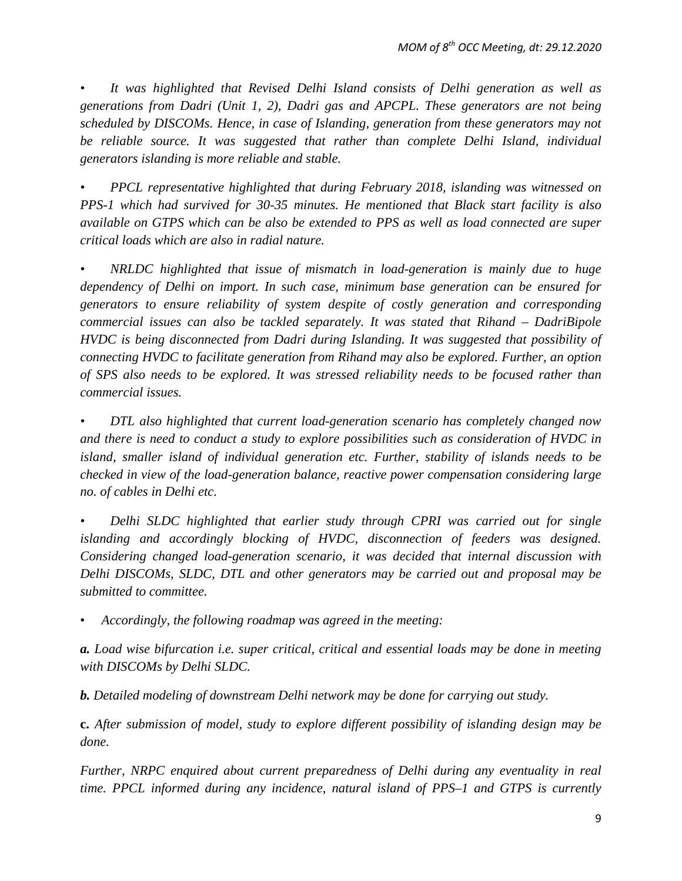*• It was highlighted that Revised Delhi Island consists of Delhi generation as well as generations from Dadri (Unit 1, 2), Dadri gas and APCPL. These generators are not being scheduled by DISCOMs. Hence, in case of Islanding, generation from these generators may not*  be reliable source. It was suggested that rather than complete Delhi Island, individual *generators islanding is more reliable and stable.*

*• PPCL representative highlighted that during February 2018, islanding was witnessed on PPS-1 which had survived for 30-35 minutes. He mentioned that Black start facility is also available on GTPS which can be also be extended to PPS as well as load connected are super critical loads which are also in radial nature.* 

*• NRLDC highlighted that issue of mismatch in load-generation is mainly due to huge dependency of Delhi on import. In such case, minimum base generation can be ensured for generators to ensure reliability of system despite of costly generation and corresponding commercial issues can also be tackled separately. It was stated that Rihand – DadriBipole HVDC is being disconnected from Dadri during Islanding. It was suggested that possibility of connecting HVDC to facilitate generation from Rihand may also be explored. Further, an option of SPS also needs to be explored. It was stressed reliability needs to be focused rather than commercial issues.* 

*• DTL also highlighted that current load-generation scenario has completely changed now and there is need to conduct a study to explore possibilities such as consideration of HVDC in island, smaller island of individual generation etc. Further, stability of islands needs to be checked in view of the load-generation balance, reactive power compensation considering large no. of cables in Delhi etc.* 

*• Delhi SLDC highlighted that earlier study through CPRI was carried out for single islanding and accordingly blocking of HVDC, disconnection of feeders was designed. Considering changed load-generation scenario, it was decided that internal discussion with Delhi DISCOMs, SLDC, DTL and other generators may be carried out and proposal may be submitted to committee.* 

• *Accordingly, the following roadmap was agreed in the meeting:* 

*a. Load wise bifurcation i.e. super critical, critical and essential loads may be done in meeting with DISCOMs by Delhi SLDC.* 

*b. Detailed modeling of downstream Delhi network may be done for carrying out study.* 

**c.** *After submission of model, study to explore different possibility of islanding design may be done.* 

*Further, NRPC enquired about current preparedness of Delhi during any eventuality in real time. PPCL informed during any incidence, natural island of PPS–1 and GTPS is currently*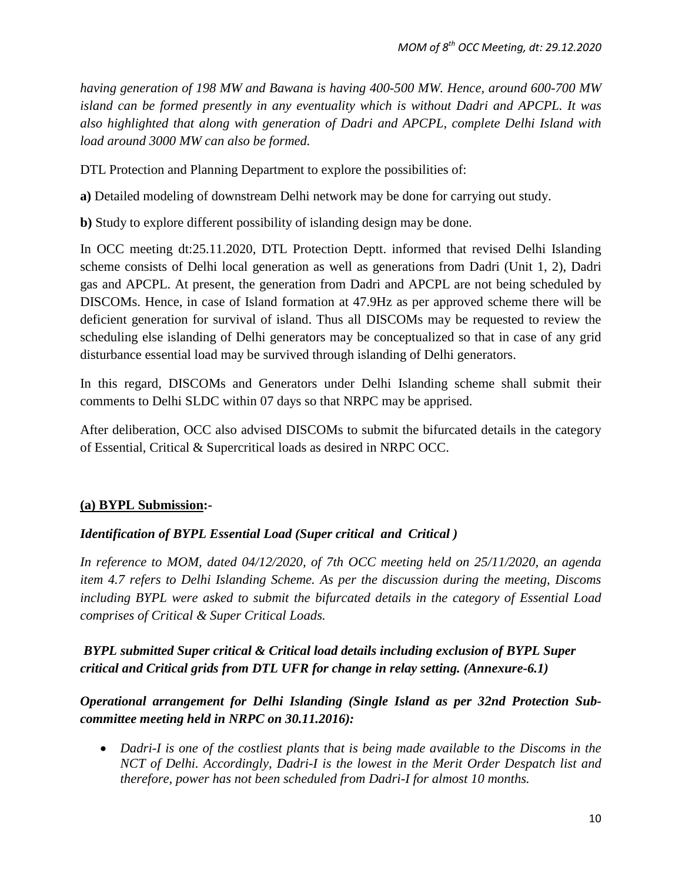*having generation of 198 MW and Bawana is having 400-500 MW. Hence, around 600-700 MW island can be formed presently in any eventuality which is without Dadri and APCPL. It was also highlighted that along with generation of Dadri and APCPL, complete Delhi Island with load around 3000 MW can also be formed.*

DTL Protection and Planning Department to explore the possibilities of:

**a)** Detailed modeling of downstream Delhi network may be done for carrying out study.

**b)** Study to explore different possibility of islanding design may be done.

In OCC meeting dt:25.11.2020, DTL Protection Deptt. informed that revised Delhi Islanding scheme consists of Delhi local generation as well as generations from Dadri (Unit 1, 2), Dadri gas and APCPL. At present, the generation from Dadri and APCPL are not being scheduled by DISCOMs. Hence, in case of Island formation at 47.9Hz as per approved scheme there will be deficient generation for survival of island. Thus all DISCOMs may be requested to review the scheduling else islanding of Delhi generators may be conceptualized so that in case of any grid disturbance essential load may be survived through islanding of Delhi generators.

In this regard, DISCOMs and Generators under Delhi Islanding scheme shall submit their comments to Delhi SLDC within 07 days so that NRPC may be apprised.

After deliberation, OCC also advised DISCOMs to submit the bifurcated details in the category of Essential, Critical & Supercritical loads as desired in NRPC OCC.

## **(a) BYPL Submission :-**

## *Identification of BYPL Essential Load (Super critical and Critical )*

*In reference to MOM, dated 04/12/2020, of 7th OCC meeting held on 25/11/2020, an agenda item 4.7 refers to Delhi Islanding Scheme. As per the discussion during the meeting, Discoms including BYPL were asked to submit the bifurcated details in the category of Essential Load comprises of Critical & Super Critical Loads.*

# *BYPL submitted Super critical & Critical load details including exclusion of BYPL Super critical and Critical grids from DTL UFR for change in relay setting. (Annexure-6.1)*

*Operational arrangement for Delhi Islanding (Single Island as per 32nd Protection Subcommittee meeting held in NRPC on 30.11.2016):*

• *Dadri-I is one of the costliest plants that is being made available to the Discoms in the NCT of Delhi. Accordingly, Dadri-I is the lowest in the Merit Order Despatch list and therefore, power has not been scheduled from Dadri-I for almost 10 months.*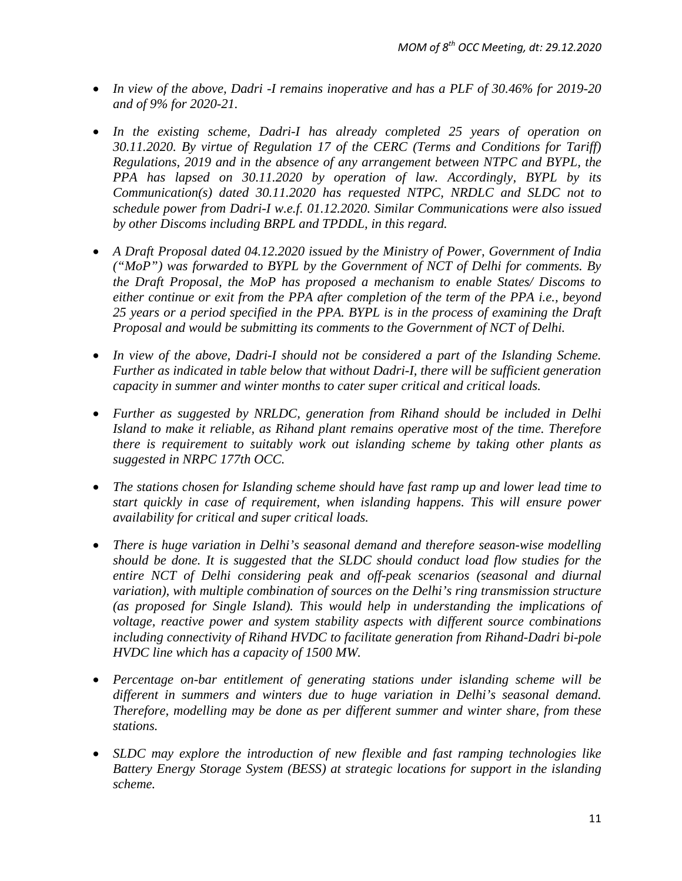- *In view of the above, Dadri -I remains inoperative and has a PLF of 30.46% for 2019-20 and of 9% for 2020-21.*
- *In the existing scheme, Dadri-I has already completed 25 years of operation on 30.11.2020. By virtue of Regulation 17 of the CERC (Terms and Conditions for Tariff) Regulations, 2019 and in the absence of any arrangement between NTPC and BYPL, the PPA has lapsed on 30.11.2020 by operation of law. Accordingly, BYPL by its Communication(s) dated 30.11.2020 has requested NTPC, NRDLC and SLDC not to schedule power from Dadri-I w.e.f. 01.12.2020. Similar Communications were also issued by other Discoms including BRPL and TPDDL, in this regard.*
- *A Draft Proposal dated 04.12.2020 issued by the Ministry of Power, Government of India ("MoP") was forwarded to BYPL by the Government of NCT of Delhi for comments. By the Draft Proposal, the MoP has proposed a mechanism to enable States/ Discoms to either continue or exit from the PPA after completion of the term of the PPA i.e., beyond 25 years or a period specified in the PPA. BYPL is in the process of examining the Draft Proposal and would be submitting its comments to the Government of NCT of Delhi.*
- *In view of the above, Dadri-I should not be considered a part of the Islanding Scheme. Further as indicated in table below that without Dadri-I, there will be sufficient generation capacity in summer and winter months to cater super critical and critical loads.*
- *Further as suggested by NRLDC, generation from Rihand should be included in Delhi Island to make it reliable, as Rihand plant remains operative most of the time. Therefore there is requirement to suitably work out islanding scheme by taking other plants as suggested in NRPC 177th OCC.*
- *The stations chosen for Islanding scheme should have fast ramp up and lower lead time to start quickly in case of requirement, when islanding happens. This will ensure power availability for critical and super critical loads.*
- *There is huge variation in Delhi's seasonal demand and therefore season-wise modelling should be done. It is suggested that the SLDC should conduct load flow studies for the entire NCT of Delhi considering peak and off-peak scenarios (seasonal and diurnal variation), with multiple combination of sources on the Delhi's ring transmission structure (as proposed for Single Island). This would help in understanding the implications of voltage, reactive power and system stability aspects with different source combinations including connectivity of Rihand HVDC to facilitate generation from Rihand-Dadri bi-pole HVDC line which has a capacity of 1500 MW.*
- *Percentage on-bar entitlement of generating stations under islanding scheme will be different in summers and winters due to huge variation in Delhi's seasonal demand. Therefore, modelling may be done as per different summer and winter share, from these stations.*
- *SLDC may explore the introduction of new flexible and fast ramping technologies like Battery Energy Storage System (BESS) at strategic locations for support in the islanding scheme.*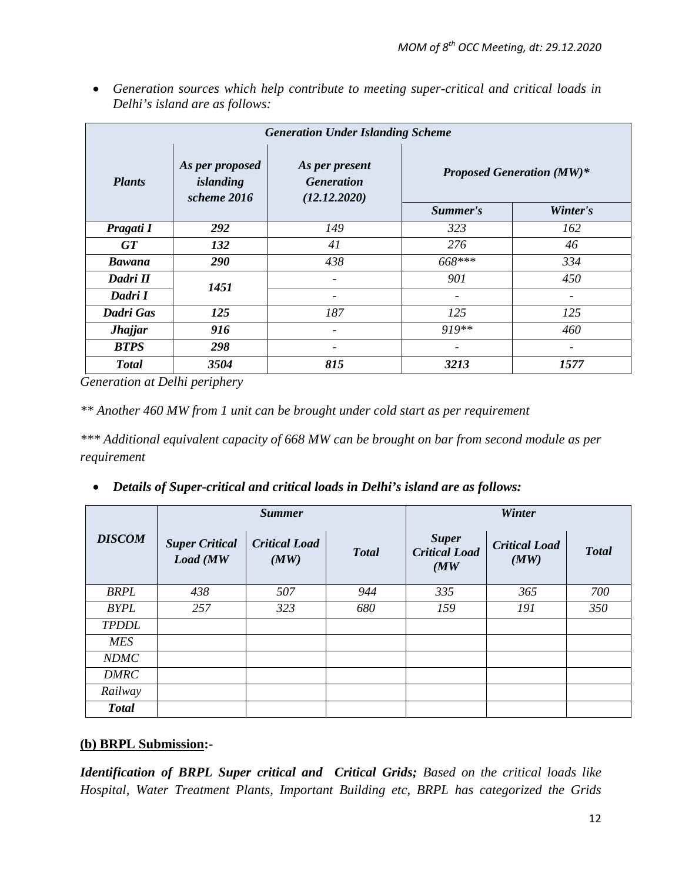| <b>Generation Under Islanding Scheme</b> |                                             |                                                     |                                  |          |  |
|------------------------------------------|---------------------------------------------|-----------------------------------------------------|----------------------------------|----------|--|
| <b>Plants</b>                            | As per proposed<br>islanding<br>scheme 2016 | As per present<br><b>Generation</b><br>(12.12.2020) | <b>Proposed Generation (MW)*</b> |          |  |
|                                          |                                             |                                                     | Summer's                         | Winter's |  |
| Pragati I                                | 292                                         | 149                                                 | 323                              | 162      |  |
| <b>GT</b>                                | 132                                         | 41                                                  | 276                              | 46       |  |
| <b>Bawana</b>                            | 290                                         | 438                                                 | 668***                           | 334      |  |
| Dadri II                                 | 1451                                        |                                                     | 901                              | 450      |  |
| Dadri I                                  |                                             |                                                     | $\overline{\phantom{a}}$         |          |  |
| Dadri Gas                                | 125                                         | 187                                                 | 125                              | 125      |  |
| <b>Jhajjar</b>                           | 916                                         |                                                     | $919**$                          | 460      |  |
| <b>BTPS</b>                              | 298                                         |                                                     |                                  |          |  |
| <b>Total</b>                             | 3504                                        | 815                                                 | 3213                             | 1577     |  |

• *Generation sources which help contribute to meeting super-critical and critical loads in Delhi's island are as follows:*

*Generation at Delhi periphery*

*\*\* Another 460 MW from 1 unit can be brought under cold start as per requirement*

*\*\*\* Additional equivalent capacity of 668 MW can be brought on bar from second module as per requirement*

• *Details of Super-critical and critical loads in Delhi's island are as follows:*

|               |                                   | <b>Summer</b>                |              |                                              | Winter                       |              |  |
|---------------|-----------------------------------|------------------------------|--------------|----------------------------------------------|------------------------------|--------------|--|
| <b>DISCOM</b> | <b>Super Critical</b><br>Load (MW | <b>Critical Load</b><br>(MW) | <b>Total</b> | <b>Super</b><br><b>Critical Load</b><br>(MW) | <b>Critical Load</b><br>(MW) | <b>Total</b> |  |
| <b>BRPL</b>   | 438                               | 507                          | 944          | 335                                          | 365                          | 700          |  |
| <b>BYPL</b>   | 257                               | 323                          | 680          | 159                                          | 191                          | 350          |  |
| <b>TPDDL</b>  |                                   |                              |              |                                              |                              |              |  |
| <b>MES</b>    |                                   |                              |              |                                              |                              |              |  |
| <b>NDMC</b>   |                                   |                              |              |                                              |                              |              |  |
| <b>DMRC</b>   |                                   |                              |              |                                              |                              |              |  |
| Railway       |                                   |                              |              |                                              |                              |              |  |
| <b>Total</b>  |                                   |                              |              |                                              |                              |              |  |

## **(b) BRPL Submission :-**

*Identification of BRPL Super critical and Critical Grids; Based on the critical loads like Hospital, Water Treatment Plants, Important Building etc, BRPL has categorized the Grids*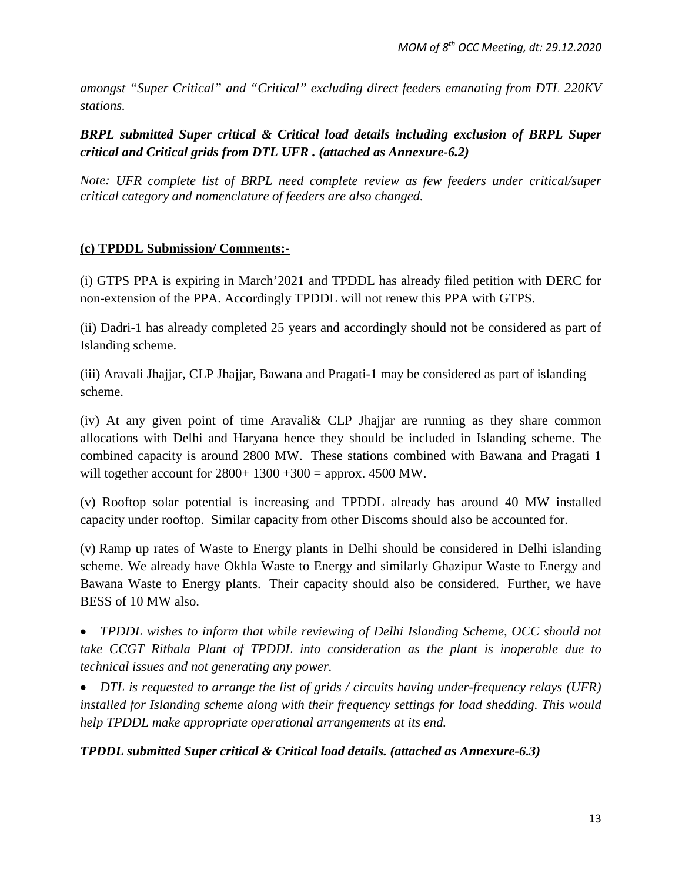*amongst "Super Critical" and "Critical" excluding direct feeders emanating from DTL 220KV stations.*

*BRPL submitted Super critical & Critical load details including exclusion of BRPL Super critical and Critical grids from DTL UFR . (attached as Annexure-6.2)*

*Note: UFR complete list of BRPL need complete review as few feeders under critical/super critical category and nomenclature of feeders are also changed.* 

#### **(c) TPDDL Submission/ Comments:-**

(i) GTPS PPA is expiring in March'2021 and TPDDL has already filed petition with DERC for non-extension of the PPA. Accordingly TPDDL will not renew this PPA with GTPS.

(ii) Dadri-1 has already completed 25 years and accordingly should not be considered as part of Islanding scheme.

(iii) Aravali Jhajjar, CLP Jhajjar, Bawana and Pragati-1 may be considered as part of islanding scheme.

(iv) At any given point of time Aravali& CLP Jhajjar are running as they share common allocations with Delhi and Haryana hence they should be included in Islanding scheme. The combined capacity is around 2800 MW. These stations combined with Bawana and Pragati 1 will together account for  $2800+1300+300 =$  approx. 4500 MW.

(v) Rooftop solar potential is increasing and TPDDL already has around 40 MW installed capacity under rooftop. Similar capacity from other Discoms should also be accounted for.

(v) Ramp up rates of Waste to Energy plants in Delhi should be considered in Delhi islanding scheme. We already have Okhla Waste to Energy and similarly Ghazipur Waste to Energy and Bawana Waste to Energy plants. Their capacity should also be considered. Further, we have BESS of 10 MW also.

• *TPDDL wishes to inform that while reviewing of Delhi Islanding Scheme, OCC should not take CCGT Rithala Plant of TPDDL into consideration as the plant is inoperable due to technical issues and not generating any power.*

• *DTL is requested to arrange the list of grids / circuits having under-frequency relays (UFR) installed for Islanding scheme along with their frequency settings for load shedding. This would help TPDDL make appropriate operational arrangements at its end.*

*TPDDL submitted Super critical & Critical load details. (attached as Annexure-6.3)*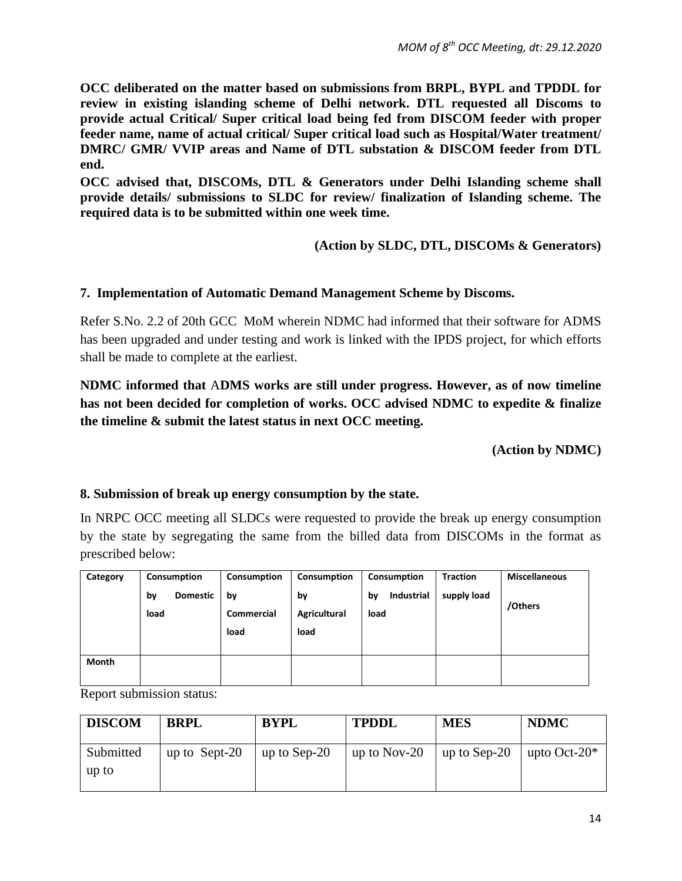**OCC deliberated on the matter based on submissions from BRPL, BYPL and TPDDL for review in existing islanding scheme of Delhi network. DTL requested all Discoms to provide actual Critical/ Super critical load being fed from DISCOM feeder with proper feeder name, name of actual critical/ Super critical load such as Hospital/Water treatment/ DMRC/ GMR/ VVIP areas and Name of DTL substation & DISCOM feeder from DTL end.**

**OCC advised that, DISCOMs, DTL & Generators under Delhi Islanding scheme shall provide details/ submissions to SLDC for review/ finalization of Islanding scheme. The required data is to be submitted within one week time.**

**(Action by SLDC, DTL, DISCOMs & Generators)**

#### **7. Implementation of Automatic Demand Management Scheme by Discoms.**

Refer S.No. 2.2 of 20th GCC MoM wherein NDMC had informed that their software for ADMS has been upgraded and under testing and work is linked with the IPDS project, for which efforts shall be made to complete at the earliest.

**NDMC informed that** A**DMS works are still under progress. However, as of now timeline has not been decided for completion of works. OCC advised NDMC to expedite & finalize the timeline & submit the latest status in next OCC meeting.**

**(Action by NDMC)**

#### **8. Submission of break up energy consumption by the state.**

In NRPC OCC meeting all SLDCs were requested to provide the break up energy consumption by the state by segregating the same from the billed data from DISCOMs in the format as prescribed below:

| Category     | Consumption           | Consumption | Consumption  | Consumption      | <b>Traction</b> | <b>Miscellaneous</b> |
|--------------|-----------------------|-------------|--------------|------------------|-----------------|----------------------|
|              | <b>Domestic</b><br>by | by          | by           | Industrial<br>by | supply load     |                      |
|              | load                  | Commercial  | Agricultural | load             |                 | /Others              |
|              |                       | load        | load         |                  |                 |                      |
|              |                       |             |              |                  |                 |                      |
| <b>Month</b> |                       |             |              |                  |                 |                      |
|              |                       |             |              |                  |                 |                      |

Report submission status:

| <b>DISCOM</b>      | <b>BRPL</b>   | <b>BYPL</b>  | <b>TPDDL</b> | <b>MES</b>   | <b>NDMC</b>      |
|--------------------|---------------|--------------|--------------|--------------|------------------|
| Submitted<br>up to | up to Sept-20 | up to Sep-20 | up to Nov-20 | up to Sep-20 | upto Oct- $20^*$ |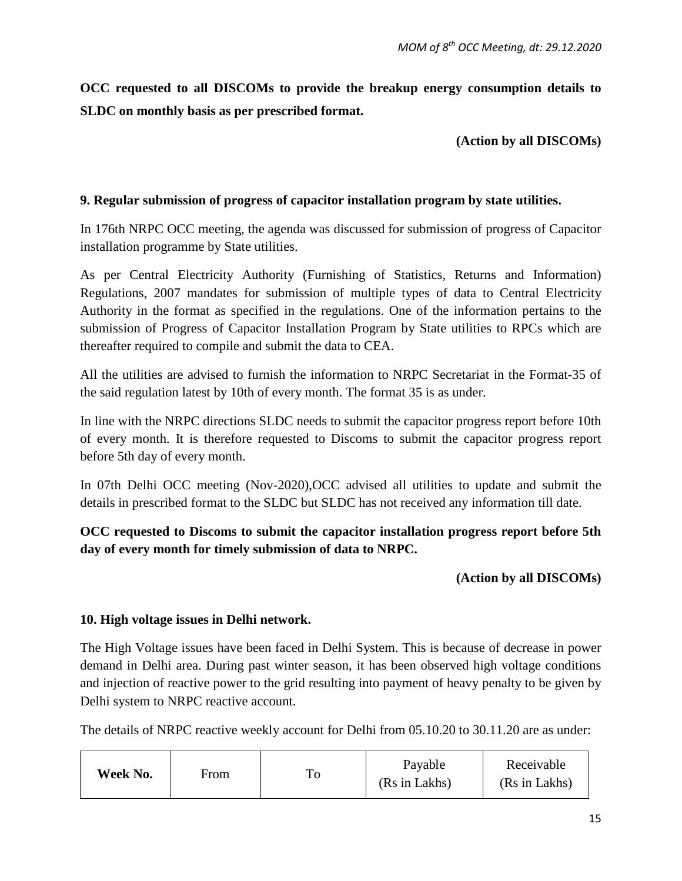**OCC requested to all DISCOMs to provide the breakup energy consumption details to SLDC on monthly basis as per prescribed format.**

#### **(Action by all DISCOMs)**

#### **9. Regular submission of progress of capacitor installation program by state utilities.**

In 176th NRPC OCC meeting, the agenda was discussed for submission of progress of Capacitor installation programme by State utilities.

As per Central Electricity Authority (Furnishing of Statistics, Returns and Information) Regulations, 2007 mandates for submission of multiple types of data to Central Electricity Authority in the format as specified in the regulations. One of the information pertains to the submission of Progress of Capacitor Installation Program by State utilities to RPCs which are thereafter required to compile and submit the data to CEA.

All the utilities are advised to furnish the information to NRPC Secretariat in the Format-35 of the said regulation latest by 10th of every month. The format 35 is as under.

In line with the NRPC directions SLDC needs to submit the capacitor progress report before 10th of every month. It is therefore requested to Discoms to submit the capacitor progress report before 5th day of every month.

In 07th Delhi OCC meeting (Nov-2020),OCC advised all utilities to update and submit the details in prescribed format to the SLDC but SLDC has not received any information till date.

# **OCC requested to Discoms to submit the capacitor installation progress report before 5th day of every month for timely submission of data to NRPC.**

**(Action by all DISCOMs)** 

#### **10. High voltage issues in Delhi network.**

The High Voltage issues have been faced in Delhi System. This is because of decrease in power demand in Delhi area. During past winter season, it has been observed high voltage conditions and injection of reactive power to the grid resulting into payment of heavy penalty to be given by Delhi system to NRPC reactive account.

The details of NRPC reactive weekly account for Delhi from 05.10.20 to 30.11.20 are as under:

| Week No. | From | To | Payable<br>(Rs in Lakhs) | Receivable<br>(Rs in Lakhs) |
|----------|------|----|--------------------------|-----------------------------|
|----------|------|----|--------------------------|-----------------------------|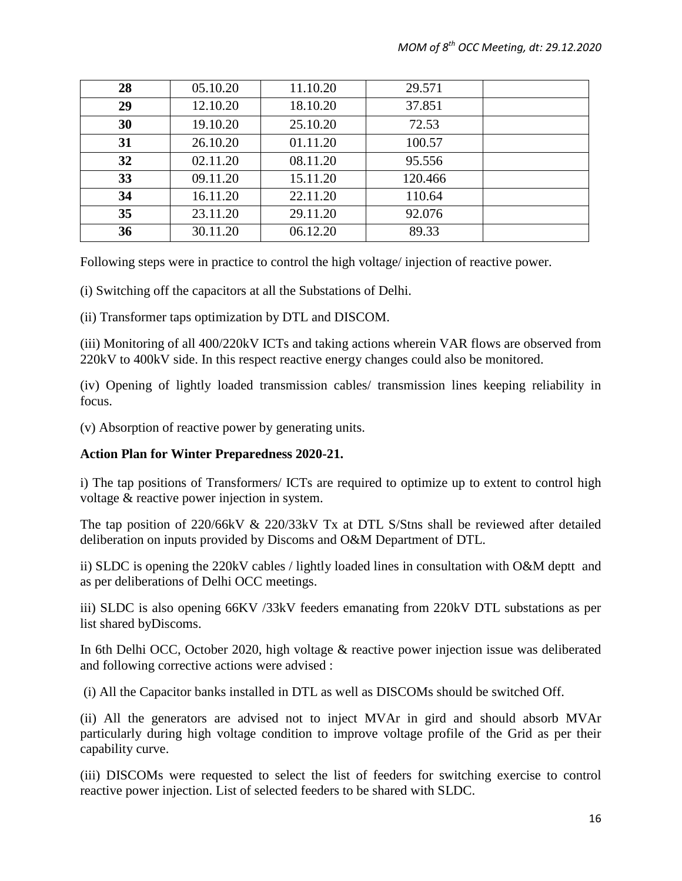| 28 | 05.10.20 | 11.10.20 | 29.571  |  |
|----|----------|----------|---------|--|
| 29 | 12.10.20 | 18.10.20 | 37.851  |  |
| 30 | 19.10.20 | 25.10.20 | 72.53   |  |
| 31 | 26.10.20 | 01.11.20 | 100.57  |  |
| 32 | 02.11.20 | 08.11.20 | 95.556  |  |
| 33 | 09.11.20 | 15.11.20 | 120.466 |  |
| 34 | 16.11.20 | 22.11.20 | 110.64  |  |
| 35 | 23.11.20 | 29.11.20 | 92.076  |  |
| 36 | 30.11.20 | 06.12.20 | 89.33   |  |

Following steps were in practice to control the high voltage/ injection of reactive power.

(i) Switching off the capacitors at all the Substations of Delhi.

(ii) Transformer taps optimization by DTL and DISCOM.

(iii) Monitoring of all 400/220kV ICTs and taking actions wherein VAR flows are observed from 220kV to 400kV side. In this respect reactive energy changes could also be monitored.

(iv) Opening of lightly loaded transmission cables/ transmission lines keeping reliability in focus.

(v) Absorption of reactive power by generating units.

## **Action Plan for Winter Preparedness 2020-21.**

i) The tap positions of Transformers/ ICTs are required to optimize up to extent to control high voltage & reactive power injection in system.

The tap position of 220/66kV & 220/33kV Tx at DTL S/Stns shall be reviewed after detailed deliberation on inputs provided by Discoms and O&M Department of DTL.

ii) SLDC is opening the 220kV cables / lightly loaded lines in consultation with O&M deptt and as per deliberations of Delhi OCC meetings.

iii) SLDC is also opening 66KV /33kV feeders emanating from 220kV DTL substations as per list shared byDiscoms.

In 6th Delhi OCC, October 2020, high voltage & reactive power injection issue was deliberated and following corrective actions were advised :

(i) All the Capacitor banks installed in DTL as well as DISCOMs should be switched Off.

(ii) All the generators are advised not to inject MVAr in gird and should absorb MVAr particularly during high voltage condition to improve voltage profile of the Grid as per their capability curve.

(iii) DISCOMs were requested to select the list of feeders for switching exercise to control reactive power injection. List of selected feeders to be shared with SLDC.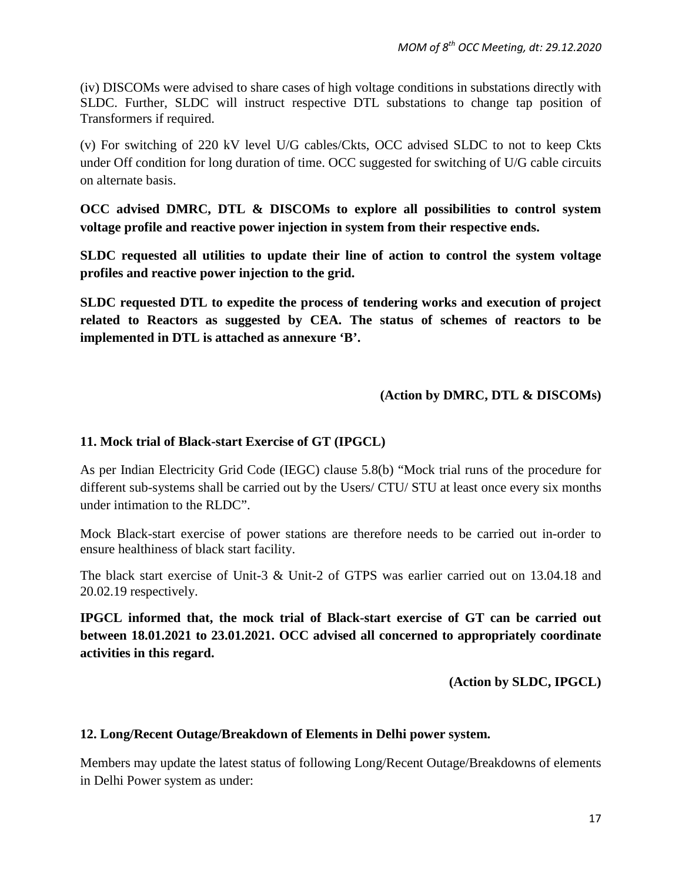(iv) DISCOMs were advised to share cases of high voltage conditions in substations directly with SLDC. Further, SLDC will instruct respective DTL substations to change tap position of Transformers if required.

(v) For switching of 220 kV level U/G cables/Ckts, OCC advised SLDC to not to keep Ckts under Off condition for long duration of time. OCC suggested for switching of U/G cable circuits on alternate basis.

**OCC advised DMRC, DTL & DISCOMs to explore all possibilities to control system voltage profile and reactive power injection in system from their respective ends.**

**SLDC requested all utilities to update their line of action to control the system voltage profiles and reactive power injection to the grid.**

**SLDC requested DTL to expedite the process of tendering works and execution of project related to Reactors as suggested by CEA. The status of schemes of reactors to be implemented in DTL is attached as annexure 'B'.**

## **(Action by DMRC, DTL & DISCOMs)**

## **11. Mock trial of Black-start Exercise of GT (IPGCL)**

As per Indian Electricity Grid Code (IEGC) clause 5.8(b) "Mock trial runs of the procedure for different sub-systems shall be carried out by the Users/ CTU/ STU at least once every six months under intimation to the RLDC".

Mock Black-start exercise of power stations are therefore needs to be carried out in-order to ensure healthiness of black start facility.

The black start exercise of Unit-3 & Unit-2 of GTPS was earlier carried out on 13.04.18 and 20.02.19 respectively.

**IPGCL informed that, the mock trial of Black-start exercise of GT can be carried out between 18.01.2021 to 23.01.2021. OCC advised all concerned to appropriately coordinate activities in this regard.**

**(Action by SLDC, IPGCL)**

#### **12. Long/Recent Outage/Breakdown of Elements in Delhi power system.**

Members may update the latest status of following Long/Recent Outage/Breakdowns of elements in Delhi Power system as under: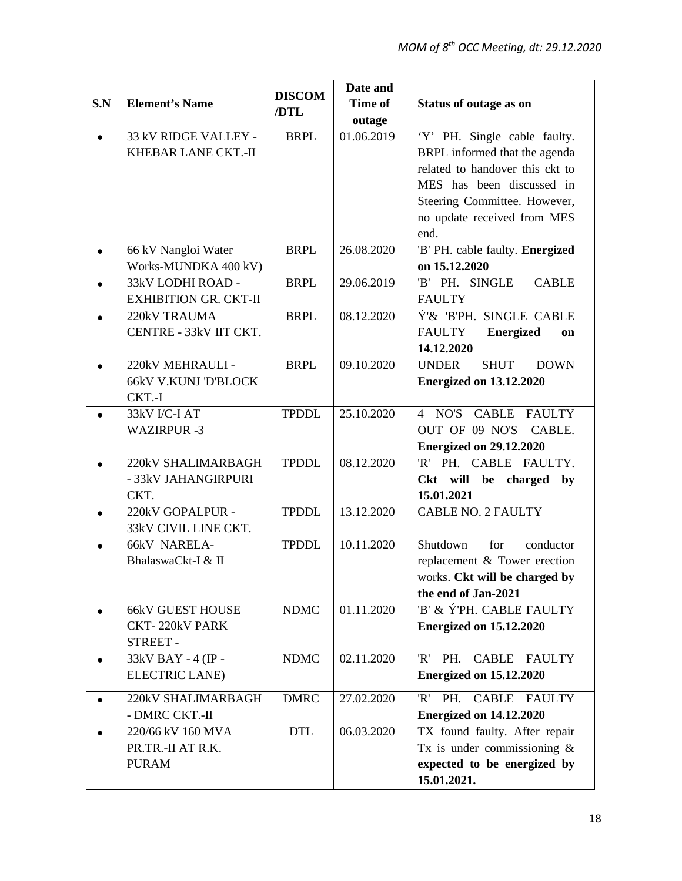| S.N       | <b>Element's Name</b>        | <b>DISCOM</b><br>/DTL | Date and<br><b>Time of</b> | Status of outage as on                     |
|-----------|------------------------------|-----------------------|----------------------------|--------------------------------------------|
|           |                              |                       | outage                     |                                            |
| $\bullet$ | 33 kV RIDGE VALLEY -         | <b>BRPL</b>           | 01.06.2019                 | 'Y' PH. Single cable faulty.               |
|           | KHEBAR LANE CKT.-II          |                       |                            | BRPL informed that the agenda              |
|           |                              |                       |                            | related to handover this ckt to            |
|           |                              |                       |                            | MES has been discussed in                  |
|           |                              |                       |                            | Steering Committee. However,               |
|           |                              |                       |                            | no update received from MES                |
|           |                              |                       |                            | end.                                       |
|           | 66 kV Nangloi Water          | <b>BRPL</b>           | 26.08.2020                 | 'B' PH. cable faulty. Energized            |
|           | Works-MUNDKA 400 kV)         |                       |                            | on 15.12.2020                              |
|           | 33kV LODHI ROAD -            | <b>BRPL</b>           | 29.06.2019                 | 'B' PH. SINGLE<br><b>CABLE</b>             |
|           | <b>EXHIBITION GR. CKT-II</b> |                       |                            | <b>FAULTY</b>                              |
|           | 220kV TRAUMA                 | <b>BRPL</b>           | 08.12.2020                 | Ý'& 'B'PH. SINGLE CABLE                    |
|           | CENTRE - 33kV IIT CKT.       |                       |                            | <b>FAULTY</b><br><b>Energized</b><br>on    |
|           |                              |                       |                            | 14.12.2020                                 |
|           | 220kV MEHRAULI -             | <b>BRPL</b>           | 09.10.2020                 | <b>UNDER</b><br><b>SHUT</b><br><b>DOWN</b> |
|           | <b>66kV V.KUNJ 'D'BLOCK</b>  |                       |                            | <b>Energized on 13.12.2020</b>             |
|           | CKT.-I                       |                       |                            |                                            |
|           | 33kV I/C-I AT                | <b>TPDDL</b>          | 25.10.2020                 | 4 NO'S CABLE<br><b>FAULTY</b>              |
|           | <b>WAZIRPUR-3</b>            |                       |                            | OUT OF 09 NO'S<br>CABLE.                   |
|           |                              |                       |                            | <b>Energized on 29.12.2020</b>             |
|           | 220kV SHALIMARBAGH           | <b>TPDDL</b>          | 08.12.2020                 | 'R' PH. CABLE FAULTY.                      |
|           | - 33kV JAHANGIRPURI          |                       |                            | Ckt will be<br>charged<br>$-$ by           |
|           | CKT.                         |                       |                            | 15.01.2021                                 |
|           | 220kV GOPALPUR -             | <b>TPDDL</b>          | 13.12.2020                 | <b>CABLE NO. 2 FAULTY</b>                  |
|           | 33kV CIVIL LINE CKT.         |                       |                            |                                            |
|           | <b>66kV NARELA-</b>          | <b>TPDDL</b>          | 10.11.2020                 | Shutdown<br>for<br>conductor               |
|           | BhalaswaCkt-I & II           |                       |                            | replacement & Tower erection               |
|           |                              |                       |                            | works. Ckt will be charged by              |
|           |                              |                       |                            | the end of Jan-2021                        |
|           | <b>66kV GUEST HOUSE</b>      | <b>NDMC</b>           | 01.11.2020                 | 'B' & Ý'PH. CABLE FAULTY                   |
|           | <b>CKT-220kV PARK</b>        |                       |                            | <b>Energized on 15.12.2020</b>             |
|           | <b>STREET -</b>              |                       |                            |                                            |
|           | 33kV BAY - 4 (IP -           | <b>NDMC</b>           | 02.11.2020                 | 'R'<br>PH.<br>CABLE FAULTY                 |
|           | <b>ELECTRIC LANE</b> )       |                       |                            | <b>Energized on 15.12.2020</b>             |
|           | 220kV SHALIMARBAGH           | <b>DMRC</b>           | 27.02.2020                 | CABLE FAULTY<br>'R'<br>PH.                 |
|           | - DMRC CKT.-II               |                       |                            | <b>Energized on 14.12.2020</b>             |
|           | 220/66 kV 160 MVA            | <b>DTL</b>            | 06.03.2020                 | TX found faulty. After repair              |
|           | PR.TR.-II AT R.K.            |                       |                            | Tx is under commissioning $\&$             |
|           | <b>PURAM</b>                 |                       |                            | expected to be energized by                |
|           |                              |                       |                            | 15.01.2021.                                |